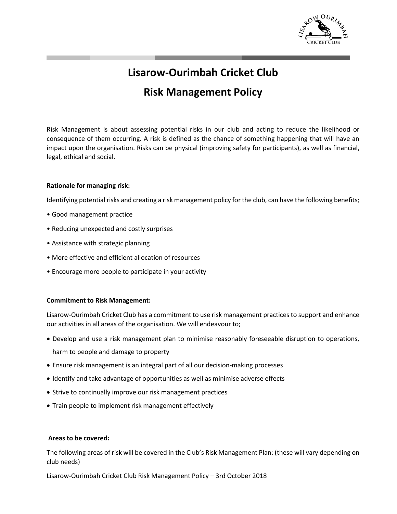

# **Lisarow-Ourimbah Cricket Club Risk Management Policy**

Risk Management is about assessing potential risks in our club and acting to reduce the likelihood or consequence of them occurring. A risk is defined as the chance of something happening that will have an impact upon the organisation. Risks can be physical (improving safety for participants), as well as financial, legal, ethical and social.

## **Rationale for managing risk:**

Identifying potential risks and creating a risk management policy for the club, can have the following benefits;

- Good management practice
- Reducing unexpected and costly surprises
- Assistance with strategic planning
- More effective and efficient allocation of resources
- Encourage more people to participate in your activity

### **Commitment to Risk Management:**

Lisarow-Ourimbah Cricket Club has a commitment to use risk management practices to support and enhance our activities in all areas of the organisation. We will endeavour to;

- Develop and use a risk management plan to minimise reasonably foreseeable disruption to operations, harm to people and damage to property
- Ensure risk management is an integral part of all our decision-making processes
- Identify and take advantage of opportunities as well as minimise adverse effects
- Strive to continually improve our risk management practices
- Train people to implement risk management effectively

### **Areas to be covered:**

The following areas of risk will be covered in the Club's Risk Management Plan: (these will vary depending on club needs)

Lisarow-Ourimbah Cricket Club Risk Management Policy – 3rd October 2018